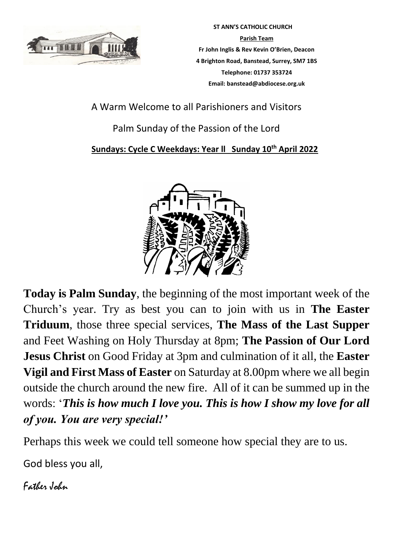

 **ST ANN'S CATHOLIC CHURCH Parish Team Fr John Inglis & Rev Kevin O'Brien, Deacon 4 Brighton Road, Banstead, Surrey, SM7 1BS Telephone: 01737 353724 Email: banstead@abdiocese.org.uk**

A Warm Welcome to all Parishioners and Visitors

# Palm Sunday of the Passion of the Lord

## **Sundays: Cycle C Weekdays: Year ll Sunday 10th April 2022**



**Today is Palm Sunday**, the beginning of the most important week of the Church's year. Try as best you can to join with us in **The Easter Triduum**, those three special services, **The Mass of the Last Supper** and Feet Washing on Holy Thursday at 8pm; **The Passion of Our Lord Jesus Christ** on Good Friday at 3pm and culmination of it all, the **Easter Vigil and First Mass of Easter** on Saturday at 8.00pm where we all begin outside the church around the new fire. All of it can be summed up in the words: '*This is how much I love you. This is how I show my love for all of you. You are very special!'* 

Perhaps this week we could tell someone how special they are to us.

God bless you all,

Father John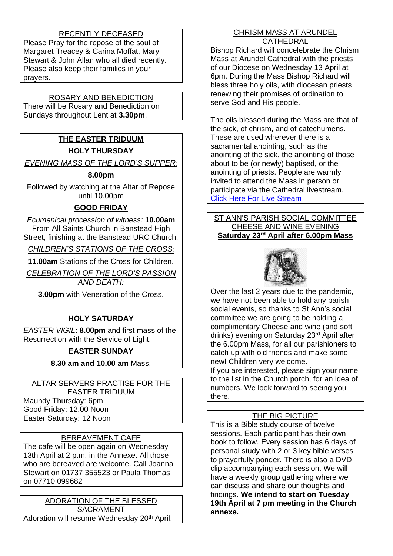### RECENTLY DECEASED

Please Pray for the repose of the soul of Margaret Treacey & Carina Moffat, Mary Stewart & John Allan who all died recently. Please also keep their families in your prayers.

## ROSARY AND BENEDICTION

There will be Rosary and Benediction on Sundays throughout Lent at **3.30pm**.

## **THE EASTER TRIDUUM HOLY THURSDAY**

*EVENING MASS OF THE LORD'S SUPPER:*

#### **8.00pm**

Followed by watching at the Altar of Repose until 10.00pm

## **GOOD FRIDAY**

*Ecumenical procession of witness:* **10.00am** From All Saints Church in Banstead High Street, finishing at the Banstead URC Church.

*CHILDREN'S STATIONS OF THE CROSS:*

**11.00am** Stations of the Cross for Children.

*CELEBRATION OF THE LORD'S PASSION AND DEATH:*

**3.00pm** with Veneration of the Cross.

## **HOLY SATURDAY**

*EASTER VIGIL*: **8.00pm** and first mass of the Resurrection with the Service of Light.

## **EASTER SUNDAY**

**8.30 am and 10.00 am** Mass.

ALTAR SERVERS PRACTISE FOR THE EASTER TRIDUUM Maundy Thursday: 6pm Good Friday: 12.00 Noon Easter Saturday: 12 Noon

## BEREAVEMENT CAFE

The cafe will be open again on Wednesday 13th April at 2 p.m. in the Annexe. All those who are bereaved are welcome. Call Joanna Stewart on 01737 355523 or Paula Thomas on 07710 099682

ADORATION OF THE BLESSED SACRAMENT Adoration will resume Wednesday 20<sup>th</sup> April.

#### CHRISM MASS AT ARUNDEL CATHEDRAL

Bishop Richard will concelebrate the Chrism Mass at Arundel Cathedral with the priests of our Diocese on Wednesday 13 April at 6pm. During the Mass Bishop Richard will bless three holy oils, with diocesan priests renewing their promises of ordination to serve God and His people.

The oils blessed during the Mass are that of the sick, of chrism, and of catechumens. These are used wherever there is a sacramental anointing, such as the anointing of the sick, the anointing of those about to be (or newly) baptised, or the anointing of priests. People are warmly invited to attend the Mass in person or participate via the Cathedral livestream. [Click Here For Live Stream](https://www.abdiocese.org.uk/livestream?ct=t(EMAIL_CAMPAIGN_2_17_2022_14_56_COPY_02)&mc_cid=72d04143fa&mc_eid=0583915dd4)

#### ST ANN'S PARISH SOCIAL COMMITTEE CHEESE AND WINE EVENING **Saturday 23rd April after 6.00pm Mass**



Over the last 2 years due to the pandemic, we have not been able to hold any parish social events, so thanks to St Ann's social committee we are going to be holding a complimentary Cheese and wine (and soft drinks) evening on Saturday 23rd April after the 6.00pm Mass, for all our parishioners to catch up with old friends and make some new! Children very welcome.

If you are interested, please sign your name to the list in the Church porch, for an idea of numbers. We look forward to seeing you there.

### THE BIG PICTURE

This is a Bible study course of twelve sessions. Each participant has their own book to follow. Every session has 6 days of personal study with 2 or 3 key bible verses to prayerfully ponder. There is also a DVD clip accompanying each session. We will have a weekly group gathering where we can discuss and share our thoughts and findings. **We intend to start on Tuesday 19th April at 7 pm meeting in the Church annexe.**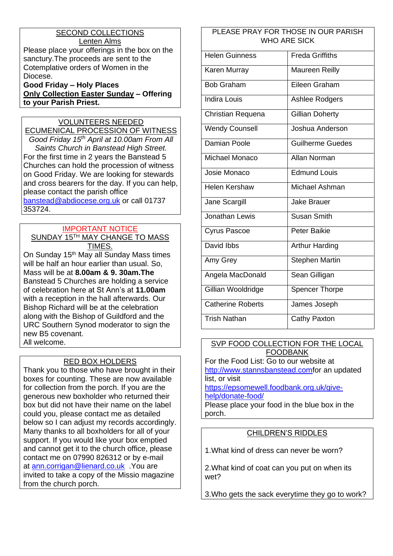#### SECOND COLLECTIONS Lenten Alms

Please place your offerings in the box on the sanctury.The proceeds are sent to the Cotemplative orders of Women in the Diocese.

**Good Friday – Holy Places Only Collection Easter Sunday – Offering to your Parish Priest.** 

## VOLUNTEERS NEEDED

ECUMENICAL PROCESSION OF WITNESS *Good Friday 15th April at 10.00am From All Saints Church in Banstead High Street.* For the first time in 2 years the Banstead 5 Churches can hold the procession of witness on Good Friday. We are looking for stewards and cross bearers for the day. If you can help, please contact the parish office [banstead@abdiocese.org.uk](mailto:banstead@abdiocese.org.uk) or call 01737 353724.

#### IMPORTANT NOTICE SUNDAY 15TH MAY CHANGE TO MASS TIMES.

On Sunday 15<sup>th</sup> May all Sunday Mass times will be half an hour earlier than usual. So, Mass will be at **8.00am & 9. 30am.The** Banstead 5 Churches are holding a service of celebration here at St Ann's at **11.00am** with a reception in the hall afterwards. Our Bishop Richard will be at the celebration along with the Bishop of Guildford and the URC Southern Synod moderator to sign the new B5 covenant. All welcome.

### RED BOX HOLDERS

Thank you to those who have brought in their boxes for counting. These are now available for collection from the porch. If you are the generous new boxholder who returned their box but did not have their name on the label could you, please contact me as detailed below so I can adjust my records accordingly. Many thanks to all boxholders for all of your support. If you would like your box emptied and cannot get it to the church office, please contact me on 07990 826312 or by e-mail at [ann.corrigan@lienard.co.uk](mailto:ann.corrigan@lienard.co.uk) .You are invited to take a copy of the Missio magazine from the church porch.

#### PLEASE PRAY FOR THOSE IN OUR PARISH WHO ARE SICK

| <b>Helen Guinness</b>    | <b>Freda Griffiths</b>  |  |
|--------------------------|-------------------------|--|
| Karen Murray             | <b>Maureen Reilly</b>   |  |
| <b>Bob Graham</b>        | Eileen Graham           |  |
| <b>Indira Louis</b>      | Ashlee Rodgers          |  |
| Christian Requena        | <b>Gillian Doherty</b>  |  |
| <b>Wendy Counsell</b>    | Joshua Anderson         |  |
| Damian Poole             | <b>Guilherme Guedes</b> |  |
| Michael Monaco           | Allan Norman            |  |
| Josie Monaco             | <b>Edmund Louis</b>     |  |
| <b>Helen Kershaw</b>     | Michael Ashman          |  |
| Jane Scargill            | <b>Jake Brauer</b>      |  |
| Jonathan Lewis           | <b>Susan Smith</b>      |  |
| <b>Cyrus Pascoe</b>      | <b>Peter Baikie</b>     |  |
| David Ibbs               | <b>Arthur Harding</b>   |  |
| Amy Grey                 | <b>Stephen Martin</b>   |  |
| Angela MacDonald         | Sean Gilligan           |  |
| Gillian Wooldridge       | <b>Spencer Thorpe</b>   |  |
| <b>Catherine Roberts</b> | James Joseph            |  |
| Trish Nathan             | Cathy Paxton            |  |

#### SVP FOOD COLLECTION FOR THE LOCAL FOODBANK

For the Food List: Go to our website at [http://www.stannsbanstead.comf](http://www.stannsbanstead.com/)or an updated list, or visit [https://epsomewell.foodbank.org.uk/give-](https://epsomewell.foodbank.org.uk/give-help/donate-food/)

[help/donate-food/](https://epsomewell.foodbank.org.uk/give-help/donate-food/)

Please place your food in the blue box in the porch.

### CHILDREN'S RIDDLES

1.What kind of dress can never be worn?

2.What kind of coat can you put on when its wet?

3.Who gets the sack everytime they go to work?